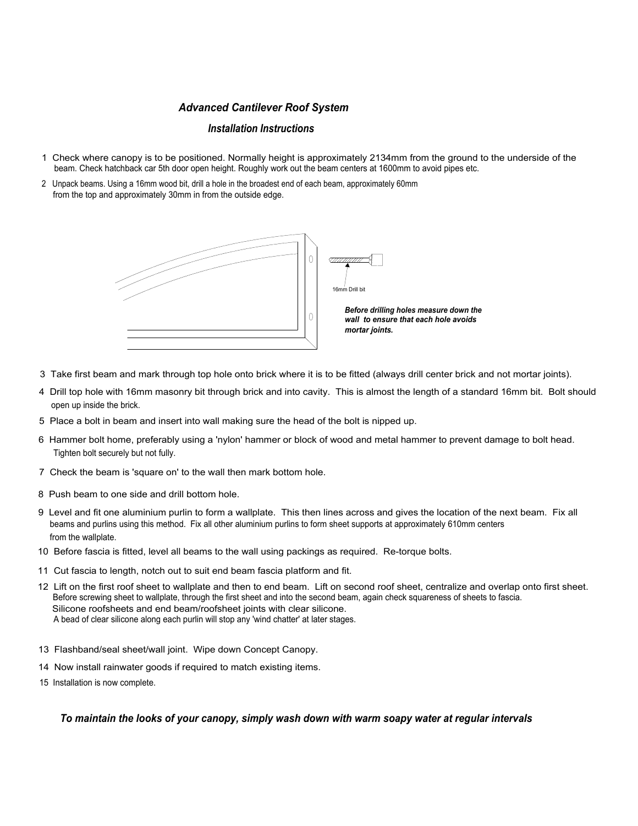#### Advanced Cantilever Roof System

#### Installation Instructions

- 1 Check where canopy is to be positioned. Normally height is approximately 2134mm from the ground to the underside of the beam. Check hatchback car 5th door open height. Roughly work out the beam centers at 1600mm to avoid pipes etc.
- 2 Unpack beams. Using a 16mm wood bit, drill a hole in the broadest end of each beam, approximately 60mm from the top and approximately 30mm in from the outside edge.



- 3 Take first beam and mark through top hole onto brick where it is to be fitted (always drill center brick and not mortar joints).
- 4 Drill top hole with 16mm masonry bit through brick and into cavity. This is almost the length of a standard 16mm bit. Bolt should open up inside the brick.
- 5 Place a bolt in beam and insert into wall making sure the head of the bolt is nipped up.
- 6 Hammer bolt home, preferably using a 'nylon' hammer or block of wood and metal hammer to prevent damage to bolt head. Tighten bolt securely but not fully.
- 7 Check the beam is 'square on' to the wall then mark bottom hole.
- 8 Push beam to one side and drill bottom hole.
- 9 Level and fit one aluminium purlin to form a wallplate. This then lines across and gives the location of the next beam. Fix all beams and purlins using this method. Fix all other aluminium purlins to form sheet supports at approximately 610mm centers from the wallplate.
- 10 Before fascia is fitted, level all beams to the wall using packings as required. Re-torque bolts.
- 11 Cut fascia to length, notch out to suit end beam fascia platform and fit.
- 12 Lift on the first roof sheet to wallplate and then to end beam. Lift on second roof sheet, centralize and overlap onto first sheet. Before screwing sheet to wallplate, through the first sheet and into the second beam, again check squareness of sheets to fascia. Silicone roofsheets and end beam/roofsheet joints with clear silicone. A bead of clear silicone along each purlin will stop any 'wind chatter' at later stages.
- 13 Flashband/seal sheet/wall joint. Wipe down Concept Canopy.
- 14 Now install rainwater goods if required to match existing items.
- 15 Installation is now complete.

To maintain the looks of your canopy, simply wash down with warm soapy water at regular intervals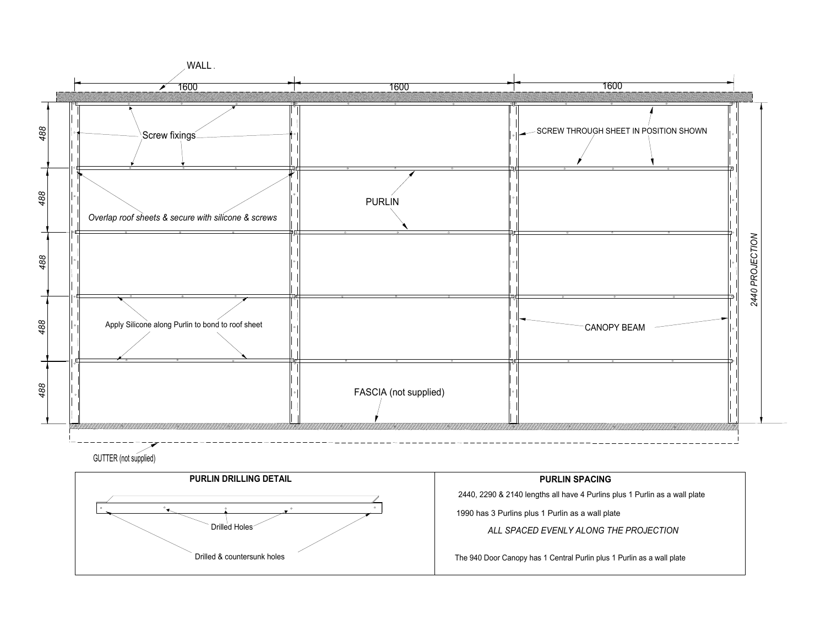